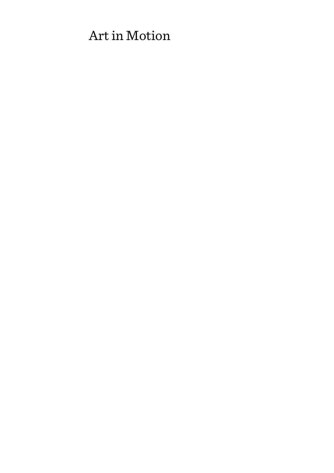# Art in Motion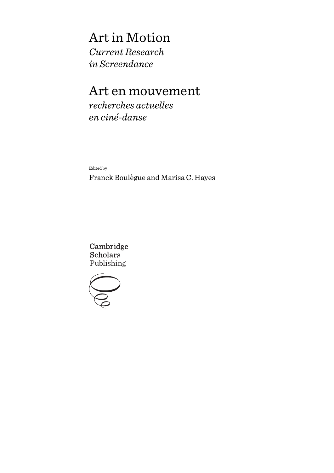Art in Motion *Current Research* 

*in Screendance* 

## Art en mouvement *recherches actuelles en ciné-danse*

Edited by

Franck Boulègue and Marisa C. Hayes

Cambridge **Scholars** Publishing

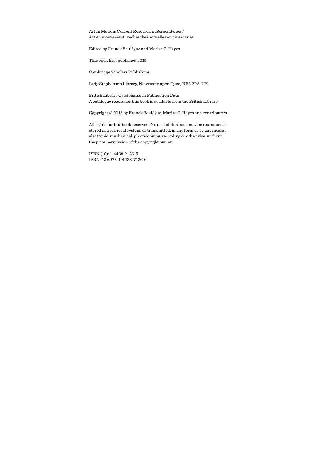Art in Motion: Current Research in Screendance / Art en mouvement : recherches actuelles en ciné-danse

Edited by Franck Boulègue and Marisa C. Hayes

This book first published 2015

Cambridge Scholars Publishing

Lady Stephenson Library, Newcastle upon Tyne, NE6 2PA, UK

British Library Cataloguing in Publication Data A catalogue record for this book is available from the British Library

Copyright © 2015 by Franck Boulègue, Marisa C. Hayes and contributors

All rights for this book reserved. No part of this book may be reproduced, stored in a retrieval system, or transmitted, in any form or by any means, electronic, mechanical, photocopying, recording or otherwise, without the prior permission of the copyright owner.

ISBN (10): 1-4438-7126-5 ISBN (13): 978-1-4438-7126-6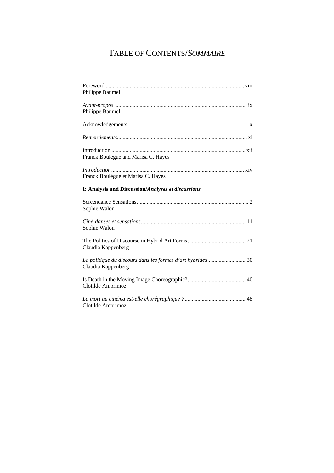## TABLE OF CONTENTS/*SOMMAIRE*

| Philippe Baumel                                                                  |
|----------------------------------------------------------------------------------|
| Philippe Baumel                                                                  |
|                                                                                  |
|                                                                                  |
| Franck Boulègue and Marisa C. Hayes                                              |
| Franck Boulègue et Marisa C. Hayes                                               |
| I: Analysis and Discussion/Analyses et discussions                               |
| Sophie Walon                                                                     |
| Sophie Walon                                                                     |
| Claudia Kappenberg                                                               |
| La politique du discours dans les formes d'art hybrides 30<br>Claudia Kappenberg |
| Clotilde Amprimoz                                                                |
| Clotilde Amprimoz                                                                |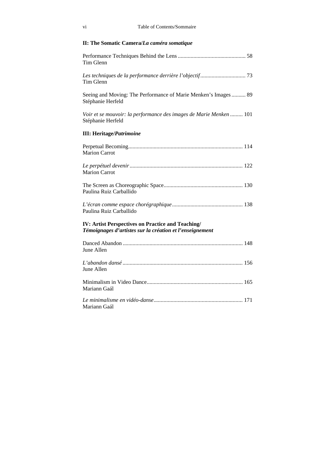#### **II: The Somatic Camera/***La caméra somatique*

| Tim Glenn                                                                                                            |
|----------------------------------------------------------------------------------------------------------------------|
| Tim Glenn                                                                                                            |
| Seeing and Moving: The Performance of Marie Menken's Images  89<br>Stéphanie Herfeld                                 |
| Voir et se mouvoir: la performance des images de Marie Menken  101<br>Stéphanie Herfeld                              |
| <b>III: Heritage/Patrimoine</b>                                                                                      |
| <b>Marion Carrot</b>                                                                                                 |
| <b>Marion Carrot</b>                                                                                                 |
| Paulina Ruiz Carballido                                                                                              |
| Paulina Ruiz Carballido                                                                                              |
| <b>IV: Artist Perspectives on Practice and Teaching/</b><br>Témoignages d'artistes sur la création et l'enseignement |
| June Allen                                                                                                           |
| June Allen                                                                                                           |
| Mariann Gaál                                                                                                         |
| Mariann Gaál                                                                                                         |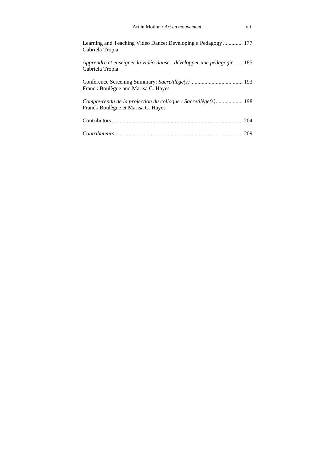| V11 |
|-----|
|     |

| Learning and Teaching Video Dance: Developing a Pedagogy 177<br>Gabriela Tropia                      |  |
|------------------------------------------------------------------------------------------------------|--|
| Apprendre et enseigner la vidéo-danse : développer une pédagogie  185<br>Gabriela Tropia             |  |
| Franck Boulègue and Marisa C. Hayes                                                                  |  |
| Compte-rendu de la projection du colloque : Sacre/ilège(s) 198<br>Franck Boulègue et Marisa C. Hayes |  |
|                                                                                                      |  |
|                                                                                                      |  |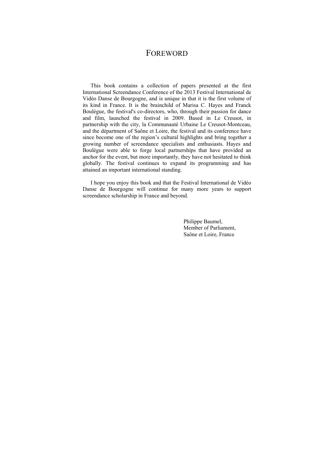## FOREWORD

This book contains a collection of papers presented at the first International Screendance Conference of the 2013 Festival International de Vidéo Danse de Bourgogne, and is unique in that it is the first volume of its kind in France. It is the brainchild of Marisa C. Hayes and Franck Boulègue, the festival's co-directors, who, through their passion for dance and film, launched the festival in 2009. Based in Le Creusot, in partnership with the city, la Communauté Urbaine Le Creusot-Montceau, and the départment of Saône et Loire, the festival and its conference have since become one of the region's cultural highlights and bring together a growing number of screendance specialists and enthusiasts. Hayes and Boulègue were able to forge local partnerships that have provided an anchor for the event, but more importantly, they have not hesitated to think globally. The festival continues to expand its programming and has attained an important international standing.

I hope you enjoy this book and that the Festival International de Vidéo Danse de Bourgogne will continue for many more years to support screendance scholarship in France and beyond.

> Philippe Baumel, Member of Parliament, Saône et Loire, France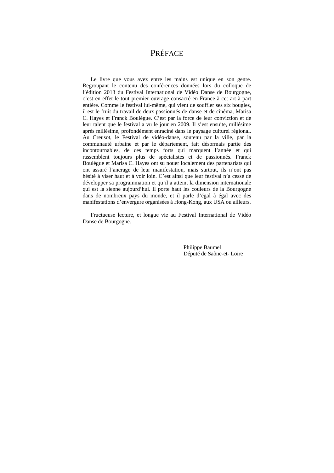## **PRÉFACE**

Le livre que vous avez entre les mains est unique en son genre. Regroupant le contenu des conférences données lors du colloque de l'édition 2013 du Festival International de Vidéo Danse de Bourgogne, c'est en effet le tout premier ouvrage consacré en France à cet art à part entière. Comme le festival lui-même, qui vient de souffler ses six bougies, il est le fruit du travail de deux passionnés de danse et de cinéma, Marisa C. Hayes et Franck Boulègue. C'est par la force de leur conviction et de leur talent que le festival a vu le jour en 2009. Il s'est ensuite, millésime après millésime, profondément enraciné dans le paysage culturel régional. Au Creusot, le Festival de vidéo-danse, soutenu par la ville, par la communauté urbaine et par le département, fait désormais partie des incontournables, de ces temps forts qui marquent l'année et qui rassemblent toujours plus de spécialistes et de passionnés. Franck Boulègue et Marisa C. Hayes ont su nouer localement des partenariats qui ont assuré l'ancrage de leur manifestation, mais surtout, ils n'ont pas hésité à viser haut et à voir loin. C'est ainsi que leur festival n'a cessé de développer sa programmation et qu'il a atteint la dimension internationale qui est la sienne aujourd'hui. Il porte haut les couleurs de la Bourgogne dans de nombreux pays du monde, et il parle d'égal à égal avec des manifestations d'envergure organisées à Hong-Kong, aux USA ou ailleurs.

Fructueuse lecture, et longue vie au Festival International de Vidéo Danse de Bourgogne.

> Philippe Baumel Député de Saône-et- Loire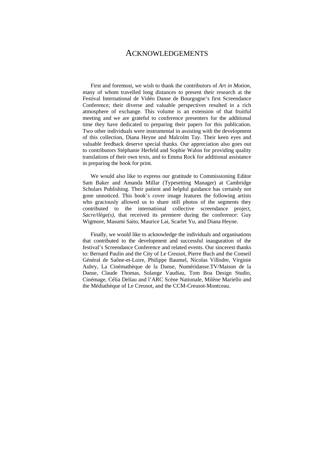#### ACKNOWLEDGEMENTS

First and foremost, we wish to thank the contributors of *Art in Motion,*  many of whom travelled long distances to present their research at the Festival International de Vidéo Danse de Bourgogne's first Screendance Conference; their diverse and valuable perspectives resulted in a rich atmosphere of exchange. This volume is an extension of that fruitful meeting and we are grateful to conference presenters for the additional time they have dedicated to preparing their papers for this publication. Two other individuals were instrumental in assisting with the development of this collection, Diana Heyne and Malcolm Tay. Their keen eyes and valuable feedback deserve special thanks. Our appreciation also goes out to contributors Stéphanie Herfeld and Sophie Walon for providing quality translations of their own texts, and to Emma Rock for additional assistance in preparing the book for print.

We would also like to express our gratitude to Commissioning Editor Sam Baker and Amanda Millar (Typesetting Manager) at Cambridge Scholars Publishing. Their patient and helpful guidance has certainly not gone unnoticed. This book's cover image features the following artists who graciously allowed us to share still photos of the segments they contributed to the international collective screendance project, *Sacre/ilège(s)*, that received its premiere during the conference: Guy Wigmore, Masumi Saito, Maurice Lai, Scarlet Yu, and Diana Heyne.

Finally, we would like to acknowledge the individuals and organisations that contributed to the development and successful inauguration of the festival's Screendance Conference and related events. Our sincerest thanks to: Bernard Paulin and the City of Le Creusot, Pierre Buch and the Conseil Général de Saône-et-Loire, Philippe Baumel, Nicolas Villodre, Virginie Aubry, La Cinémathèque de la Danse, Numéridanse.TV/Maison de la Danse, Claude Thomas, Solange Vaudiau, Tom Boa Design Studio, Cinémage, Célia Deliau and l'ARC Scène Nationale, Milène Mariello and the Médiathèque of Le Creusot, and the CCM-Creusot-Montceau.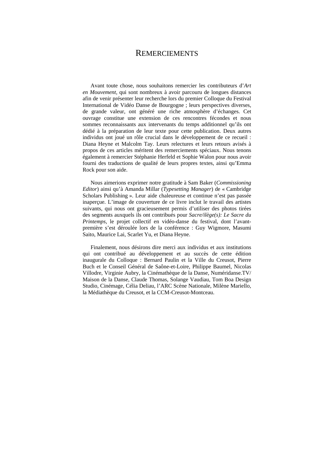### **REMERCIEMENTS**

Avant toute chose, nous souhaitons remercier les contributeurs d'*Art en Mouvement,* qui sont nombreux à avoir parcouru de longues distances afin de venir présenter leur recherche lors du premier Colloque du Festival International de Vidéo Danse de Bourgogne ; leurs perspectives diverses, de grande valeur, ont généré une riche atmosphère d'échanges. Cet ouvrage constitue une extension de ces rencontres fécondes et nous sommes reconnaissants aux intervenants du temps additionnel qu'ils ont dédié à la préparation de leur texte pour cette publication. Deux autres individus ont joué un rôle crucial dans le développement de ce recueil : Diana Heyne et Malcolm Tay. Leurs relectures et leurs retours avisés à propos de ces articles méritent des remerciements spéciaux. Nous tenons également à remercier Stéphanie Herfeld et Sophie Walon pour nous avoir fourni des traductions de qualité de leurs propres textes, ainsi qu'Emma Rock pour son aide.

Nous aimerions exprimer notre gratitude à Sam Baker (*Commissioning Editor*) ainsi qu'à Amanda Millar (*Typesetting Manager*) de « Cambridge Scholars Publishing ». Leur aide chaleureuse et continue n'est pas passée inaperçue. L'image de couverture de ce livre inclut le travail des artistes suivants, qui nous ont gracieusement permis d'utiliser des photos tirées des segments auxquels ils ont contribués pour *Sacre/ilège(s): Le Sacre du Printemps*, le projet collectif en vidéo-danse du festival, dont l'avantpremière s'est déroulée lors de la conférence : Guy Wigmore, Masumi Saito, Maurice Lai, Scarlet Yu, et Diana Heyne.

Finalement, nous désirons dire merci aux individus et aux institutions qui ont contribué au développement et au succès de cette édition inaugurale du Colloque : Bernard Paulin et la Ville du Creusot, Pierre Buch et le Conseil Général de Saône-et-Loire, Philippe Baumel, Nicolas Villodre, Virginie Aubry, la Cinémathèque de la Danse, Numéridanse.TV/ Maison de la Danse, Claude Thomas, Solange Vaudiau, Tom Boa Design Studio, Cinémage, Célia Deliau, l'ARC Scène Nationale, Milène Mariello, la Médiathèque du Creusot, et la CCM-Creusot-Montceau.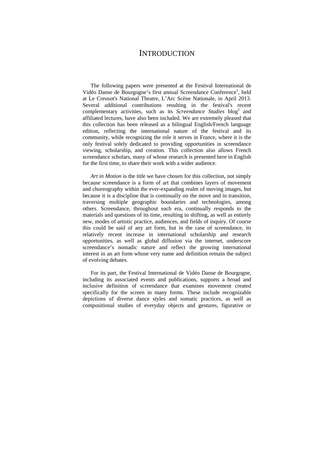### **INTRODUCTION**

The following papers were presented at the Festival International de Vidéo Danse de Bourgogne's first annual Screendance Conference<sup>1</sup>, held at Le Creusot's National Theatre, L'Arc Scène Nationale, in April 2013. Several additional contributions resulting in the festival's recent complementary activities, such as its *Screendance Studies* blog<sup>2</sup> and affiliated lectures, have also been included. We are extremely pleased that this collection has been released as a bilingual English/French language edition, reflecting the international nature of the festival and its community, while recognizing the role it serves in France, where it is the only festival solely dedicated to providing opportunities in screendance viewing, scholarship, and creation. This collection also allows French screendance scholars, many of whose research is presented here in English for the first time, to share their work with a wider audience.

*Art in Motion* is the title we have chosen for this collection, not simply because screendance is a form of art that combines layers of movement and choreography within the ever-expanding realm of moving images, but because it is a discipline that is continually on the move and in transition, traversing multiple geographic boundaries and technologies, among others. Screendance, throughout each era, continually responds to the materials and questions of its time, resulting in shifting, as well as entirely new, modes of artistic practice, audiences, and fields of inquiry. Of course this could be said of any art form, but in the case of screendance, its relatively recent increase in international scholarship and research opportunities, as well as global diffusion via the internet, underscore screendance's nomadic nature and reflect the growing international interest in an art form whose very name and definition remain the subject of evolving debates.

For its part, the Festival International de Vidéo Danse de Bourgogne, including its associated events and publications, supports a broad and inclusive definition of screendance that examines movement created specifically for the screen in many forms. These include recognizable depictions of diverse dance styles and somatic practices, as well as compositional studies of everyday objects and gestures, figurative or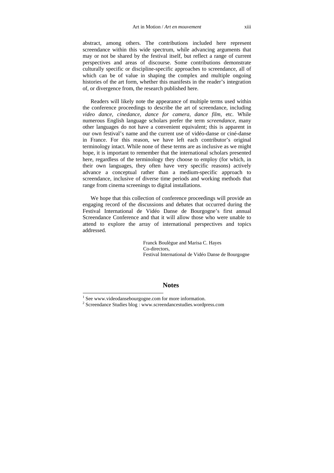abstract, among others. The contributions included here represent screendance within this wide spectrum, while advancing arguments that may or not be shared by the festival itself, but reflect a range of current perspectives and areas of discourse. Some contributions demonstrate culturally specific or discipline-specific approaches to screendance, all of which can be of value in shaping the complex and multiple ongoing histories of the art form, whether this manifests in the reader's integration of, or divergence from, the research published here.

Readers will likely note the appearance of multiple terms used within the conference proceedings to describe the art of screendance, including *video dance*, *cinedance*, *dance for camera*, *dance film*, etc. While numerous English language scholars prefer the term *screendance*, many other languages do not have a convenient equivalent; this is apparent in our own festival's name and the current use of vidéo-danse or ciné-danse in France. For this reason, we have left each contributor's original terminology intact. While none of these terms are as inclusive as we might hope, it is important to remember that the international scholars presented here, regardless of the terminology they choose to employ (for which, in their own languages, they often have very specific reasons) actively advance a conceptual rather than a medium-specific approach to screendance, inclusive of diverse time periods and working methods that range from cinema screenings to digital installations.

We hope that this collection of conference proceedings will provide an engaging record of the discussions and debates that occurred during the Festival International de Vidéo Danse de Bourgogne's first annual Screendance Conference and that it will allow those who were unable to attend to explore the array of international perspectives and topics addressed.

> Franck Boulègue and Marisa C. Hayes Co-directors, Festival International de Vidéo Danse de Bourgogne

#### **Notes**

<sup>1</sup> See www.videodansebourgogne.com for more information.

<sup>&</sup>lt;sup>2</sup> Screendance Studies blog : www.screendancestudies.wordpress.com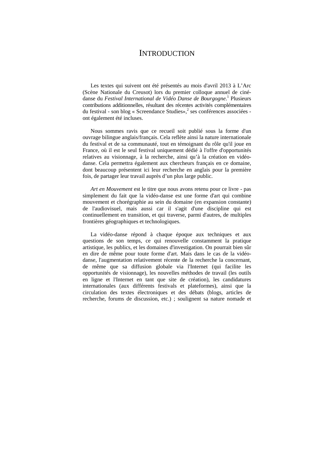### **INTRODUCTION**

Les textes qui suivent ont été présentés au mois d'avril 2013 à L'Arc (Scène Nationale du Creusot) lors du premier colloque annuel de cinédanse du *Festival International de Vidéo Danse de Bourgogne*.<sup>1</sup> Plusieurs contributions additionnelles, résultant des récentes activités complémentaires du festival - son blog « Screendance Studies»,<sup>2</sup> ses conférences associées ont également été incluses.

Nous sommes ravis que ce recueil soit publié sous la forme d'un ouvrage bilingue anglais/français. Cela reflète ainsi la nature internationale du festival et de sa communauté, tout en témoignant du rôle qu'il joue en France, où il est le seul festival uniquement dédié à l'offre d'opportunités relatives au visionnage, à la recherche, ainsi qu'à la création en vidéodanse. Cela permettra également aux chercheurs français en ce domaine, dont beaucoup présentent ici leur recherche en anglais pour la première fois, de partager leur travail auprès d'un plus large public.

*Art en Mouvement* est le titre que nous avons retenu pour ce livre - pas simplement du fait que la vidéo-danse est une forme d'art qui combine mouvement et chorégraphie au sein du domaine (en expansion constante) de l'audiovisuel, mais aussi car il s'agit d'une discipline qui est continuellement en transition, et qui traverse, parmi d'autres, de multiples frontières géographiques et technologiques.

La vidéo-danse répond à chaque époque aux techniques et aux questions de son temps, ce qui renouvelle constamment la pratique artistique, les publics, et les domaines d'investigation. On pourrait bien sûr en dire de même pour toute forme d'art. Mais dans le cas de la vidéodanse, l'augmentation relativement récente de la recherche la concernant, de même que sa diffusion globale via l'Internet (qui facilite les opportunités de visionnage), les nouvelles méthodes de travail (les outils en ligne et l'Internet en tant que site de création), les candidatures internationales (aux différents festivals et plateformes), ainsi que la circulation des textes électroniques et des débats (blogs, articles de recherche, forums de discussion, etc.) ; soulignent sa nature nomade et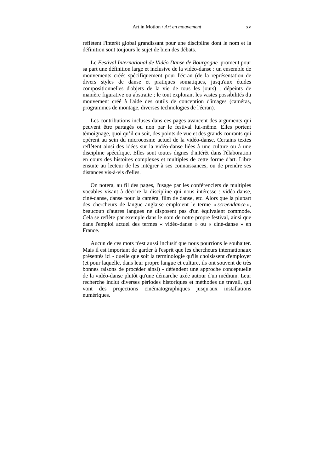reflètent l'intérêt global grandissant pour une discipline dont le nom et la définition sont toujours le sujet de bien des débats.

Le *Festival International de Vidéo Danse de Bourgogne* promeut pour sa part une définition large et inclusive de la vidéo-danse : un ensemble de mouvements créés spécifiquement pour l'écran (de la représentation de divers styles de danse et pratiques somatiques, jusqu'aux études compositionnelles d'objets de la vie de tous les jours) ; dépeints de manière figurative ou abstraite ; le tout explorant les vastes possibilités du mouvement créé à l'aide des outils de conception d'images (caméras, programmes de montage, diverses technologies de l'écran).

Les contributions incluses dans ces pages avancent des arguments qui peuvent être partagés ou non par le festival lui-même. Elles portent témoignage, quoi qu'il en soit, des points de vue et des grands courants qui opèrent au sein du microcosme actuel de la vidéo-danse. Certains textes reflètent ainsi des idées sur la vidéo-danse liées à une culture ou à une discipline spécifique. Elles sont toutes dignes d'intérêt dans l'élaboration en cours des histoires complexes et multiples de cette forme d'art. Libre ensuite au lecteur de les intégrer à ses connaissances, ou de prendre ses distances vis-à-vis d'elles.

On notera, au fil des pages, l'usage par les conférenciers de multiples vocables visant à décrire la discipline qui nous intéresse : vidéo-danse, ciné-danse, danse pour la caméra, film de danse, etc. Alors que la plupart des chercheurs de langue anglaise emploient le terme « *screendance* », beaucoup d'autres langues ne disposent pas d'un équivalent commode. Cela se reflète par exemple dans le nom de notre propre festival, ainsi que dans l'emploi actuel des termes « vidéo-danse » ou « ciné-danse » en France.

Aucun de ces mots n'est aussi inclusif que nous pourrions le souhaiter. Mais il est important de garder à l'esprit que les chercheurs internationaux présentés ici - quelle que soit la terminologie qu'ils choisissent d'employer (et pour laquelle, dans leur propre langue et culture, ils ont souvent de très bonnes raisons de procéder ainsi) - défendent une approche conceptuelle de la vidéo-danse plutôt qu'une démarche axée autour d'un médium. Leur recherche inclut diverses périodes historiques et méthodes de travail, qui vont des projections cinématographiques jusqu'aux installations numériques.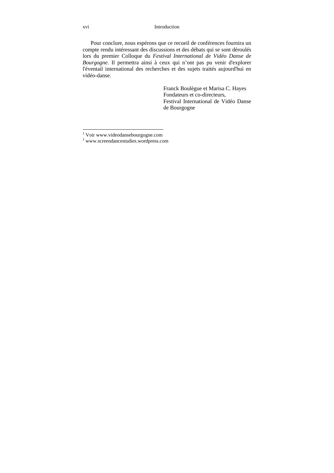Pour conclure, nous espérons que ce recueil de conférences fournira un compte rendu intéressant des discussions et des débats qui se sont déroulés lors du premier Colloque du *Festival International de Vidéo Danse de Bourgogne*. Il permettra ainsi à ceux qui n'ont pas pu venir d'explorer l'éventail international des recherches et des sujets traités aujourd'hui en vidéo-danse.

> Franck Boulègue et Marisa C. Hayes Fondateurs et co-directeurs, Festival International de Vidéo Danse de Bourgogne

 1 Voir www.videodansebourgogne.com

<sup>2</sup> www.screendancestudies.wordpress.com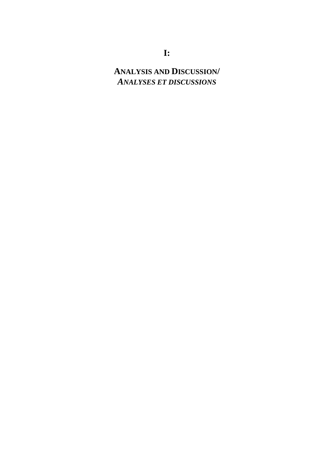## **ANALYSIS AND DISCUSSION/**  *ANALYSES ET DISCUSSIONS*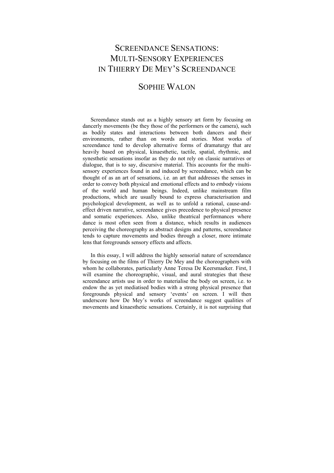## SCREENDANCE SENSATIONS: MULTI-SENSORY EXPERIENCES IN THIERRY DE MEY'S SCREENDANCE

### SOPHIE WALON

Screendance stands out as a highly sensory art form by focusing on dancerly movements (be they those of the performers or the camera), such as bodily states and interactions between both dancers and their environments, rather than on words and stories. Most works of screendance tend to develop alternative forms of dramaturgy that are heavily based on physical, kinaesthetic, tactile, spatial, rhythmic, and synesthetic sensations insofar as they do not rely on classic narratives or dialogue, that is to say, discursive material. This accounts for the multisensory experiences found in and induced by screendance, which can be thought of as an art of sensations, i.e. an art that addresses the senses in order to convey both physical and emotional effects and to *embody* visions of the world and human beings. Indeed, unlike mainstream film productions, which are usually bound to express characterisation and psychological development, as well as to unfold a rational, cause-andeffect driven narrative, screendance gives precedence to physical presence and somatic experiences. Also, unlike theatrical performances where dance is most often seen from a distance, which results in audiences perceiving the choreography as abstract designs and patterns, screendance tends to capture movements and bodies through a closer, more intimate lens that foregrounds sensory effects and affects.

In this essay, I will address the highly sensorial nature of screendance by focusing on the films of Thierry De Mey and the choreographers with whom he collaborates, particularly Anne Teresa De Keersmaeker. First, I will examine the choreographic, visual, and aural strategies that these screendance artists use in order to materialise the body on screen, i.e. to endow the as yet mediatised bodies with a strong physical presence that foregrounds physical and sensory 'events' on screen. I will then underscore how De Mey's works of screendance suggest qualities of movements and kinaesthetic sensations. Certainly, it is not surprising that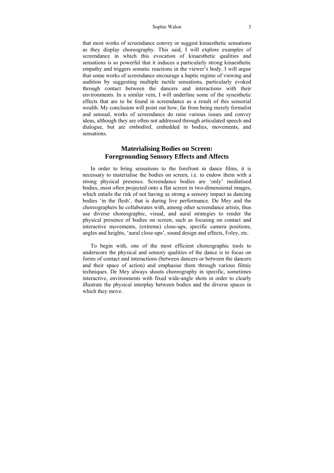#### Sophie Walon 3

that most works of screendance convey or suggest kinaesthetic sensations as they display choreography. This said, I will explore examples of screendance in which this evocation of kinaesthetic qualities and sensations is so powerful that it induces a particularly strong kinaesthetic empathy and triggers somatic reactions in the viewer's body. I will argue that some works of screendance encourage a haptic regime of viewing and audition by suggesting multiple tactile sensations, particularly evoked through contact between the dancers and interactions with their environments. In a similar vein, I will underline some of the synesthetic effects that are to be found in screendance as a result of this sensorial wealth. My conclusion will point out how, far from being merely formalist and sensual, works of screendance do raise various issues and convey ideas, although they are often not addressed through articulated speech and dialogue, but are *embodied*, embedded in bodies, movements, and sensations.

#### **Materialising Bodies on Screen: Foregrounding Sensory Effects and Affects**

In order to bring sensations to the forefront in dance films, it is necessary to materialise the bodies on screen, i.e. to endow them with a strong physical presence. Screendance bodies are 'only' mediatised bodies, most often projected onto a flat screen in two-dimensional images, which entails the risk of not having as strong a sensory impact as dancing bodies 'in the flesh', that is during live performance. De Mey and the choreographers he collaborates with, among other screendance artists, thus use diverse choreographic, visual, and aural strategies to render the physical presence of bodies on screen, such as focusing on contact and interactive movements, (extreme) close-ups, specific camera positions, angles and heights, 'aural close-ups', sound design and effects, Foley, etc.

To begin with, one of the most efficient choreographic tools to underscore the physical and sensory qualities of the dance is to focus on forms of contact and interactions (between dancers or between the dancers and their space of action) and emphasise them through various filmic techniques. De Mey always shoots choreography in specific, sometimes interactive, environments with fixed wide-angle shots in order to clearly illustrate the physical interplay between bodies and the diverse spaces in which they move.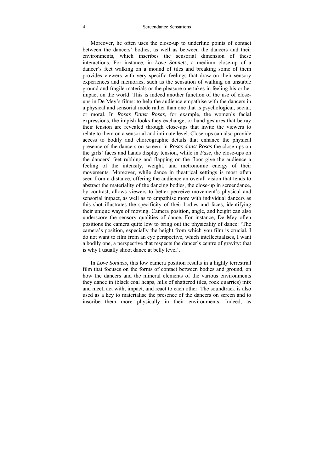Moreover, he often uses the close-up to underline points of contact between the dancers' bodies, as well as between the dancers and their environments, which inscribes the sensorial dimension of these interactions. For instance, in *Love Sonnets*, a medium close-up of a dancer's feet walking on a mound of tiles and breaking some of them provides viewers with very specific feelings that draw on their sensory experiences and memories, such as the sensation of walking on unstable ground and fragile materials or the pleasure one takes in feeling his or her impact on the world. This is indeed another function of the use of closeups in De Mey's films: to help the audience empathise with the dancers in a physical and sensorial mode rather than one that is psychological, social, or moral. In *Rosas Danst Rosas*, for example, the women's facial expressions, the impish looks they exchange, or hand gestures that betray their tension are revealed through close-ups that invite the viewers to relate to them on a sensorial and intimate level. Close-ups can also provide access to bodily and choreographic details that enhance the physical presence of the dancers on screen: in *Rosas danst Rosas* the close-ups on the girls' faces and hands display tension, while in *Fase*, the close-ups on the dancers' feet rubbing and flapping on the floor give the audience a feeling of the intensity, weight, and metronomic energy of their movements. Moreover, while dance in theatrical settings is most often seen from a distance, offering the audience an overall vision that tends to abstract the materiality of the dancing bodies, the close-up in screendance, by contrast, allows viewers to better perceive movement's physical and sensorial impact, as well as to empathise more with individual dancers as this shot illustrates the specificity of their bodies and faces, identifying their unique ways of moving. Camera position, angle, and height can also underscore the sensory qualities of dance. For instance, De Mey often positions the camera quite low to bring out the physicality of dance: 'The camera's position, especially the height from which you film is crucial. I do not want to film from an eye perspective, which intellectualises, I want a bodily one, a perspective that respects the dancer's centre of gravity: that is why I usually shoot dance at belly level'.<sup>1</sup>

In *Love Sonnets*, this low camera position results in a highly terrestrial film that focuses on the forms of contact between bodies and ground, on how the dancers and the mineral elements of the various environments they dance in (black coal heaps, hills of shattered tiles, rock quarries) mix and meet, act with, impact, and react to each other. The soundtrack is also used as a key to materialise the presence of the dancers on screen and to inscribe them more physically in their environments. Indeed, as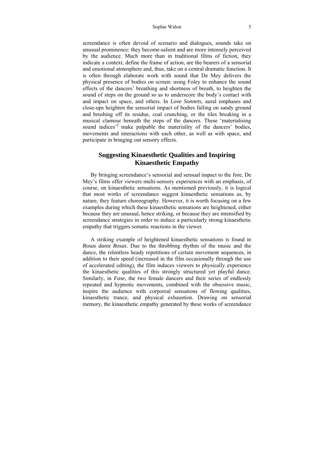#### Sophie Walon 5

screendance is often devoid of scenario and dialogues, sounds take on unusual prominence: they become salient and are more intensely perceived by the audience. Much more than in traditional films of fiction, they indicate a context, define the frame of action, are the bearers of a sensorial and emotional atmosphere and, thus, take on a central dramatic function. It is often through elaborate work with sound that De Mey delivers the physical presence of bodies on screen: using Foley to enhance the sound effects of the dancers' breathing and shortness of breath, to heighten the sound of steps on the ground so as to underscore the body's contact with and impact on space, and others. In *Love Sonnets*, aural emphases and close-ups heighten the sensorial impact of bodies falling on sandy ground and brushing off its residue, coal crunching, or the tiles breaking in a musical clamour beneath the steps of the dancers. These 'materialising sound indices<sup>2</sup> make palpable the materiality of the dancers' bodies, movements and interactions with each other, as well as with space, and participate in bringing out sensory effects.

#### **Suggesting Kinaesthetic Qualities and Inspiring Kinaesthetic Empathy**

By bringing screendance's sensorial and sensual impact to the fore, De Mey's films offer viewers multi-sensory experiences with an emphasis, of course, on kinaesthetic sensations. As mentioned previously, it is logical that most works of screendance suggest kinaesthetic sensations as, by nature, they feature choreography. However, it is worth focusing on a few examples during which these kinaesthetic sensations are heightened, either because they are unusual, hence striking, or because they are intensified by screendance strategies in order to induce a particularly strong kinaesthetic empathy that triggers somatic reactions in the viewer.

A striking example of heightened kinaesthetic sensations is found in *Rosas danst Rosas*. Due to the throbbing rhythm of the music and the dance, the relentless heady repetitions of certain movement sequences, in addition to their speed (increased in the film occasionally through the use of accelerated editing), the film induces viewers to physically experience the kinaesthetic qualities of this strongly structured yet playful dance. Similarly, in *Fase*, the two female dancers and their series of endlessly repeated and hypnotic movements, combined with the obsessive music, inspire the audience with corporeal sensations of flowing qualities, kinaesthetic trance, and physical exhaustion. Drawing on sensorial memory, the kinaesthetic empathy generated by these works of screendance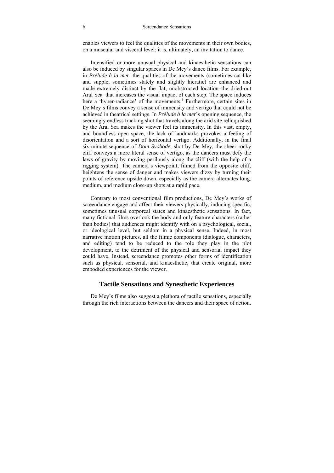enables viewers to feel the qualities of the movements in their own bodies, on a muscular and visceral level: it is, ultimately, an invitation to dance.

Intensified or more unusual physical and kinaesthetic sensations can also be induced by singular spaces in De Mey's dance films. For example, in *Prélude à la mer*, the qualities of the movements (sometimes cat-like and supple, sometimes stately and slightly hieratic) are enhanced and made extremely distinct by the flat, unobstructed location–the dried-out Aral Sea–that increases the visual impact of each step. The space induces here a 'hyper-radiance' of the movements.<sup>3</sup> Furthermore, certain sites in De Mey's films convey a sense of immensity and vertigo that could not be achieved in theatrical settings. In *Prélude à la mer*'s opening sequence, the seemingly endless tracking shot that travels along the arid site relinquished by the Aral Sea makes the viewer feel its immensity. In this vast, empty, and boundless open space, the lack of landmarks provokes a feeling of disorientation and a sort of horizontal vertigo. Additionally, in the final six-minute sequence of *Dom Svobode*, shot by De Mey, the sheer rocky cliff conveys a more literal sense of vertigo, as the dancers must defy the laws of gravity by moving perilously along the cliff (with the help of a rigging system). The camera's viewpoint, filmed from the opposite cliff, heightens the sense of danger and makes viewers dizzy by turning their points of reference upside down, especially as the camera alternates long, medium, and medium close-up shots at a rapid pace.

Contrary to most conventional film productions, De Mey's works of screendance engage and affect their viewers physically, inducing specific, sometimes unusual corporeal states and kinaesthetic sensations. In fact, many fictional films overlook the body and only feature characters (rather than bodies) that audiences might identify with on a psychological, social, or ideological level, but seldom in a physical sense. Indeed, in most narrative motion pictures, all the filmic components (dialogue, characters, and editing) tend to be reduced to the role they play in the plot development, to the detriment of the physical and sensorial impact they could have. Instead, screendance promotes other forms of identification such as physical, sensorial, and kinaesthetic, that create original, more embodied experiences for the viewer.

#### **Tactile Sensations and Synesthetic Experiences**

De Mey's films also suggest a plethora of tactile sensations, especially through the rich interactions between the dancers and their space of action.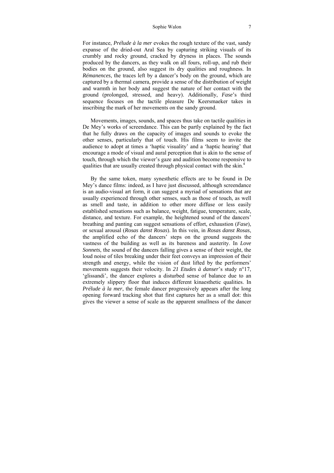#### Sophie Walon 7

For instance, *Prélude à la mer* evokes the rough texture of the vast, sandy expanse of the dried-out Aral Sea by capturing striking visuals of its crumbly and rocky ground, cracked by dryness in places. The sounds produced by the dancers, as they walk on all fours, roll-up, and rub their bodies on the ground, also suggest its dry qualities and roughness. In *Rémanences*, the traces left by a dancer's body on the ground, which are captured by a thermal camera, provide a sense of the distribution of weight and warmth in her body and suggest the nature of her contact with the ground (prolonged, stressed, and heavy). Additionally, *Fase*'s third sequence focuses on the tactile pleasure De Keersmaeker takes in inscribing the mark of her movements on the sandy ground.

Movements, images, sounds, and spaces thus take on tactile qualities in De Mey's works of screendance. This can be partly explained by the fact that he fully draws on the capacity of images and sounds to evoke the other senses, particularly that of touch. His films seem to invite the audience to adopt at times a 'haptic visuality' and a 'haptic hearing' that encourage a mode of visual and aural perception that is akin to the sense of touch, through which the viewer's gaze and audition become responsive to qualities that are usually created through physical contact with the skin.<sup>4</sup>

By the same token, many synesthetic effects are to be found in De Mey's dance films: indeed, as I have just discussed, although screendance is an audio-visual art form, it can suggest a myriad of sensations that are usually experienced through other senses, such as those of touch, as well as smell and taste, in addition to other more diffuse or less easily established sensations such as balance, weight, fatigue, temperature, scale, distance, and texture. For example, the heightened sound of the dancers' breathing and panting can suggest sensations of effort, exhaustion (*Fase*), or sexual arousal (*Rosas danst Rosas*). In this vein, in *Rosas danst Rosas*, the amplified echo of the dancers' steps on the ground suggests the vastness of the building as well as its bareness and austerity. In *Love Sonnets*, the sound of the dancers falling gives a sense of their weight, the loud noise of tiles breaking under their feet conveys an impression of their strength and energy, while the vision of dust lifted by the performers' movements suggests their velocity. In *21 Etudes à danser*'s study n°17, 'glissandi', the dancer explores a disturbed sense of balance due to an extremely slippery floor that induces different kinaesthetic qualities. In *Prélude à la mer*, the female dancer progressively appears after the long opening forward tracking shot that first captures her as a small dot: this gives the viewer a sense of scale as the apparent smallness of the dancer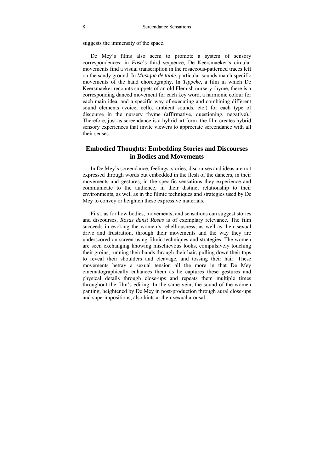suggests the immensity of the space.

De Mey's films also seem to promote a system of sensory correspondences: in *Fase*'s third sequence, De Keersmaeker's circular movements find a visual transcription in the rosaceous-patterned traces left on the sandy ground. In *Musique de table*, particular sounds match specific movements of the hand choreography. In *Tippeke*, a film in which De Keersmaeker recounts snippets of an old Flemish nursery rhyme, there is a corresponding danced movement for each key word, a harmonic colour for each main idea, and a specific way of executing and combining different sound elements (voice, cello, ambient sounds, etc.) for each type of discourse in the nursery rhyme (affirmative, questioning, negative).<sup>5</sup> Therefore, just as screendance is a hybrid art form, the film creates hybrid sensory experiences that invite viewers to appreciate screendance with all their senses.

#### **Embodied Thoughts: Embedding Stories and Discourses in Bodies and Movements**

In De Mey's screendance, feelings, stories, discourses and ideas are not expressed through words but embedded in the flesh of the dancers, in their movements and gestures, in the specific sensations they experience and communicate to the audience, in their distinct relationship to their environments, as well as in the filmic techniques and strategies used by De Mey to convey or heighten these expressive materials.

First, as for how bodies, movements, and sensations can suggest stories and discourses, *Rosas danst Rosas* is of exemplary relevance. The film succeeds in evoking the women's rebelliousness, as well as their sexual drive and frustration, through their movements and the way they are underscored on screen using filmic techniques and strategies. The women are seen exchanging knowing mischievous looks, compulsively touching their groins, running their hands through their hair, pulling down their tops to reveal their shoulders and cleavage, and tossing their hair. These movements betray a sexual tension all the more in that De Mey cinematographically enhances them as he captures these gestures and physical details through close-ups and repeats them multiple times throughout the film's editing. In the same vein, the sound of the women panting, heightened by De Mey in post-production through aural close-ups and superimpositions, also hints at their sexual arousal.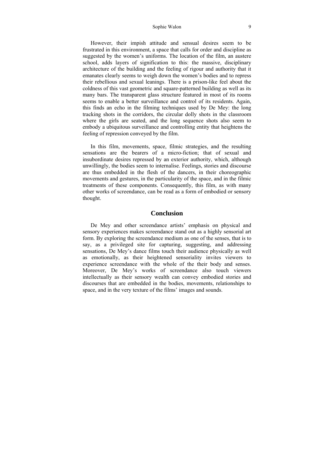#### Sophie Walon 9

However, their impish attitude and sensual desires seem to be frustrated in this environment, a space that calls for order and discipline as suggested by the women's uniforms. The location of the film, an austere school, adds layers of signification to this: the massive, disciplinary architecture of the building and the feeling of rigour and authority that it emanates clearly seems to weigh down the women's bodies and to repress their rebellious and sexual leanings. There is a prison-like feel about the coldness of this vast geometric and square-patterned building as well as its many bars. The transparent glass structure featured in most of its rooms seems to enable a better surveillance and control of its residents. Again, this finds an echo in the filming techniques used by De Mey: the long tracking shots in the corridors, the circular dolly shots in the classroom where the girls are seated, and the long sequence shots also seem to embody a ubiquitous surveillance and controlling entity that heightens the feeling of repression conveyed by the film.

In this film, movements, space, filmic strategies, and the resulting sensations are the bearers of a micro-fiction; that of sexual and insubordinate desires repressed by an exterior authority, which, although unwillingly, the bodies seem to internalise. Feelings, stories and discourse are thus embedded in the flesh of the dancers, in their choreographic movements and gestures, in the particularity of the space, and in the filmic treatments of these components. Consequently, this film, as with many other works of screendance, can be read as a form of embodied or sensory thought.

#### **Conclusion**

De Mey and other screendance artists' emphasis on physical and sensory experiences makes screendance stand out as a highly sensorial art form. By exploring the screendance medium as one of the senses, that is to say, as a privileged site for capturing, suggesting, and addressing sensations, De Mey's dance films touch their audience physically as well as emotionally, as their heightened sensoriality invites viewers to experience screendance with the whole of the their body and senses. Moreover, De Mey's works of screendance also touch viewers intellectually as their sensory wealth can convey embodied stories and discourses that are embedded in the bodies, movements, relationships to space, and in the very texture of the films' images and sounds.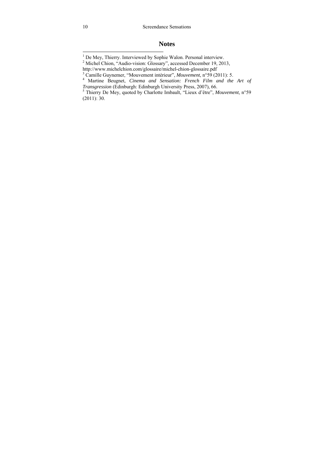#### **Notes**

<sup>&</sup>lt;sup>1</sup> De Mey, Thierry. Interviewed by Sophie Walon. Personal interview.<br><sup>2</sup> Michel Chion. "Audio-vision: Glossary" accessed December 19, 201

<sup>2</sup> Michel Chion, "Audio-vision: Glossary", accessed December 19, 2013,<br>http://www.michelchion.com/glossaire/michel-chion-glossaire.pdf

<sup>&</sup>lt;sup>3</sup> Camille Guynemer, "Mouvement intérieur", *Mouvement*,  $n^{\circ}59$  (2011): 5.

<sup>&</sup>lt;sup>3</sup> Camille Guynemer, "Mouvement intérieur", *Mouvement*, n°59 (2011): 5.<br><sup>4</sup> Martine Beugnet, *Cinema and Sensation: French Film and the Art of* 

*Transgression* (Edinburgh: Edinburgh University Press, 2007), 66.<br><sup>5</sup> Thierry De Mey, quoted by Charlotte Imbault, "Lieux d'être", *Mouvement*, n°59  $(2011)$ : 30.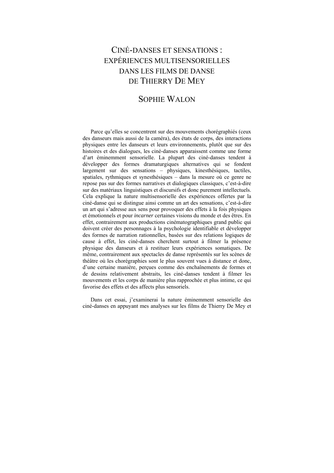## CINÉ-DANSES ET SENSATIONS : EXPÉRIENCES MULTISENSORIELLES DANS LES FILMS DE DANSE DE THIERRY DE MEY

## SOPHIE WALON

Parce qu'elles se concentrent sur des mouvements chorégraphiés (ceux des danseurs mais aussi de la caméra), des états de corps, des interactions physiques entre les danseurs et leurs environnements, plutôt que sur des histoires et des dialogues, les ciné-danses apparaissent comme une forme d'art éminemment sensorielle. La plupart des ciné-danses tendent à développer des formes dramaturgiques alternatives qui se fondent largement sur des sensations – physiques, kinesthésiques, tactiles, spatiales, rythmiques et synesthésiques – dans la mesure où ce genre ne repose pas sur des formes narratives et dialogiques classiques, c'est-à-dire sur des matériaux linguistiques et discursifs et donc purement intellectuels. Cela explique la nature multisensorielle des expériences offertes par la ciné-danse qui se distingue ainsi comme un art des sensations, c'est-à-dire un art qui s'adresse aux sens pour provoquer des effets à la fois physiques et émotionnels et pour *incarner* certaines visions du monde et des êtres. En effet, contrairement aux productions cinématographiques grand public qui doivent créer des personnages à la psychologie identifiable et développer des formes de narration rationnelles, basées sur des relations logiques de cause à effet, les ciné-danses cherchent surtout à filmer la présence physique des danseurs et à restituer leurs expériences somatiques. De même, contrairement aux spectacles de danse représentés sur les scènes de théâtre où les chorégraphies sont le plus souvent vues à distance et donc, d'une certaine manière, perçues comme des enchaînements de formes et de dessins relativement abstraits, les ciné-danses tendent à filmer les mouvements et les corps de manière plus rapprochée et plus intime, ce qui favorise des effets et des affects plus sensoriels.

Dans cet essai, j'examinerai la nature éminemment sensorielle des ciné-danses en appuyant mes analyses sur les films de Thierry De Mey et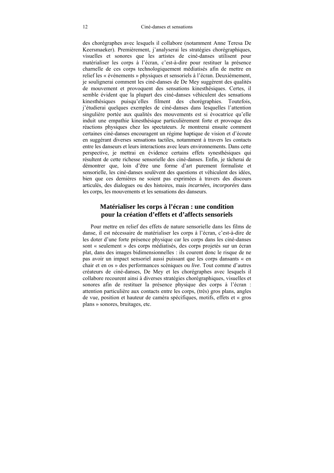des chorégraphes avec lesquels il collabore (notamment Anne Teresa De Keersmaeker). Premièrement, j'analyserai les stratégies chorégraphiques, visuelles et sonores que les artistes de ciné-danses utilisent pour matérialiser les corps à l'écran, c'est-à-dire pour restituer la présence charnelle de ces corps technologiquement médiatisés afin de mettre en relief les « événements » physiques et sensoriels à l'écran. Deuxièmement, je soulignerai comment les ciné-danses de De Mey suggèrent des qualités de mouvement et provoquent des sensations kinesthésiques. Certes, il semble évident que la plupart des ciné-danses véhiculent des sensations kinesthésiques puisqu'elles filment des chorégraphies. Toutefois, j'étudierai quelques exemples de ciné-danses dans lesquelles l'attention singulière portée aux qualités des mouvements est si évocatrice qu'elle induit une empathie kinesthésique particulièrement forte et provoque des réactions physiques chez les spectateurs. Je montrerai ensuite comment certaines ciné-danses encouragent un régime haptique de vision et d'écoute en suggérant diverses sensations tactiles, notamment à travers les contacts entre les danseurs et leurs interactions avec leurs environnements. Dans cette perspective, je mettrai en évidence certains effets synesthésiques qui résultent de cette richesse sensorielle des ciné-danses. Enfin, je tâcherai de démontrer que, loin d'être une forme d'art purement formaliste et sensorielle, les ciné-danses soulèvent des questions et véhiculent des idées, bien que ces dernières ne soient pas exprimées à travers des discours articulés, des dialogues ou des histoires, mais *incarnées, incorporées* dans les corps, les mouvements et les sensations des danseurs.

#### **Matérialiser les corps à l'écran : une condition pour la création d'effets et d'affects sensoriels**

Pour mettre en relief des effets de nature sensorielle dans les films de danse, il est nécessaire de matérialiser les corps à l'écran, c'est-à-dire de les doter d'une forte présence physique car les corps dans les ciné-danses sont « seulement » des corps médiatisés, des corps projetés sur un écran plat, dans des images bidimensionnelles : ils courent donc le risque de ne pas avoir un impact sensoriel aussi puissant que les corps dansants « en chair et en os » des performances scéniques ou *live*. Tout comme d'autres créateurs de ciné-danses, De Mey et les chorégraphes avec lesquels il collabore recourent ainsi à diverses stratégies chorégraphiques, visuelles et sonores afin de restituer la présence physique des corps à l'écran : attention particulière aux contacts entre les corps, (très) gros plans, angles de vue, position et hauteur de caméra spécifiques, motifs, effets et « gros plans » sonores, bruitages, etc.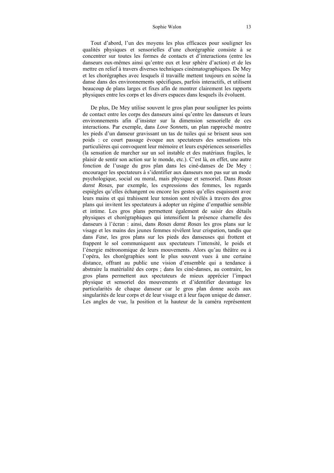#### Sophie Walon 13

Tout d'abord, l'un des moyens les plus efficaces pour souligner les qualités physiques et sensorielles d'une chorégraphie consiste à se concentrer sur toutes les formes de contacts et d'interactions (entre les danseurs eux-mêmes ainsi qu'entre eux et leur sphère d'action) et de les mettre en relief à travers diverses techniques cinématographiques. De Mey et les chorégraphes avec lesquels il travaille mettent toujours en scène la danse dans des environnements spécifiques, parfois interactifs, et utilisent beaucoup de plans larges et fixes afin de montrer clairement les rapports physiques entre les corps et les divers espaces dans lesquels ils évoluent.

De plus, De Mey utilise souvent le gros plan pour souligner les points de contact entre les corps des danseurs ainsi qu'entre les danseurs et leurs environnements afin d'insister sur la dimension sensorielle de ces interactions. Par exemple, dans *Love Sonnets*, un plan rapproché montre les pieds d'un danseur gravissant un tas de tuiles qui se brisent sous son poids : ce court passage évoque aux spectateurs des sensations très particulières qui convoquent leur mémoire et leurs expériences sensorielles (la sensation de marcher sur un sol instable et des matériaux fragiles, le plaisir de sentir son action sur le monde, etc.). C'est là, en effet, une autre fonction de l'usage du gros plan dans les ciné-danses de De Mey : encourager les spectateurs à s'identifier aux danseurs non pas sur un mode psychologique, social ou moral, mais physique et sensoriel. Dans *Rosas danst Rosas*, par exemple, les expressions des femmes, les regards espiègles qu'elles échangent ou encore les gestes qu'elles esquissent avec leurs mains et qui trahissent leur tension sont révélés à travers des gros plans qui invitent les spectateurs à adopter un régime d'empathie sensible et intime. Les gros plans permettent également de saisir des détails physiques et chorégraphiques qui intensifient la présence charnelle des danseurs à l'écran : ainsi, dans *Rosas danst Rosas* les gros plans sur le visage et les mains des jeunes femmes révèlent leur crispation, tandis que dans *Fase*, les gros plans sur les pieds des danseuses qui frottent et frappent le sol communiquent aux spectateurs l'intensité, le poids et l'énergie métronomique de leurs mouvements. Alors qu'au théâtre ou à l'opéra, les chorégraphies sont le plus souvent vues à une certaine distance, offrant au public une vision d'ensemble qui a tendance à abstraire la matérialité des corps ; dans les ciné-danses, au contraire, les gros plans permettent aux spectateurs de mieux apprécier l'impact physique et sensoriel des mouvements et d'identifier davantage les particularités de chaque danseur car le gros plan donne accès aux singularités de leur corps et de leur visage et à leur façon unique de danser. Les angles de vue, la position et la hauteur de la caméra représentent